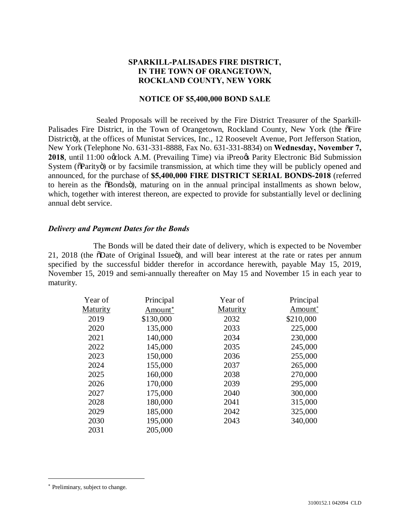# **SPARKILL-PALISADES FIRE DISTRICT, IN THE TOWN OF ORANGETOWN, ROCKLAND COUNTY, NEW YORK**

# **NOTICE OF \$5,400,000 BOND SALE**

Sealed Proposals will be received by the Fire District Treasurer of the Sparkill-Palisades Fire District, in the Town of Orangetown, Rockland County, New York (the  $\delta$ Fire Districtö), at the offices of Munistat Services, Inc., 12 Roosevelt Avenue, Port Jefferson Station, New York (Telephone No. 631-331-8888, Fax No. 631-331-8834) on **Wednesday, November 7, 2018**, until 11:00 occlock A.M. (Prevailing Time) via iPreo $\alpha$  Parity Electronic Bid Submission System ( $\delta$ Parity $\ddot{o}$ ) or by facsimile transmission, at which time they will be publicly opened and announced, for the purchase of **\$5,400,000 FIRE DISTRICT SERIAL BONDS-2018** (referred to herein as the  $\delta$ Bonds $\delta$ ), maturing on in the annual principal installments as shown below, which, together with interest thereon, are expected to provide for substantially level or declining annual debt service.

## *Delivery and Payment Dates for the Bonds*

The Bonds will be dated their date of delivery, which is expected to be November 21, 2018 (the  $\delta$ Date of Original Issue $\ddot{\text{o}}$ ), and will bear interest at the rate or rates per annum specified by the successful bidder therefor in accordance herewith, payable May 15, 2019, November 15, 2019 and semi-annually thereafter on May 15 and November 15 in each year to maturity.

| Year of  | Principal           | Year of  | Principal           |
|----------|---------------------|----------|---------------------|
| Maturity | Amount <sup>*</sup> | Maturity | Amount <sup>*</sup> |
| 2019     | \$130,000           | 2032     | \$210,000           |
| 2020     | 135,000             | 2033     | 225,000             |
| 2021     | 140,000             | 2034     | 230,000             |
| 2022     | 145,000             | 2035     | 245,000             |
| 2023     | 150,000             | 2036     | 255,000             |
| 2024     | 155,000             | 2037     | 265,000             |
| 2025     | 160,000             | 2038     | 270,000             |
| 2026     | 170,000             | 2039     | 295,000             |
| 2027     | 175,000             | 2040     | 300,000             |
| 2028     | 180,000             | 2041     | 315,000             |
| 2029     | 185,000             | 2042     | 325,000             |
| 2030     | 195,000             | 2043     | 340,000             |
| 2031     | 205,000             |          |                     |

 $\overline{\phantom{a}}$ 

<sup>\*</sup> Preliminary, subject to change.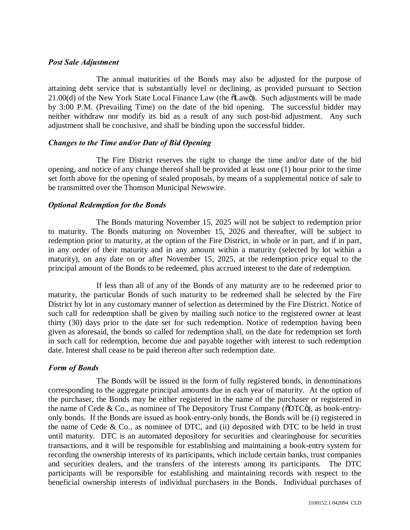#### *Post Sale Adjustment*

The annual maturities of the Bonds may also be adjusted for the purpose of attaining debt service that is substantially level or declining, as provided pursuant to Section 21.00(d) of the New York State Local Finance Law (the  $\delta$ Lawö). Such adjustments will be made by 3:00 P.M. (Prevailing Time) on the date of the bid opening. The successful bidder may neither withdraw nor modify its bid as a result of any such post-bid adjustment. Any such adjustment shall be conclusive, and shall be binding upon the successful bidder.

## *Changes to the Time and/or Date of Bid Opening*

The Fire District reserves the right to change the time and/or date of the bid opening, and notice of any change thereof shall be provided at least one (1) hour prior to the time set forth above for the opening of sealed proposals, by means of a supplemental notice of sale to be transmitted over the Thomson Municipal Newswire.

## *Optional Redemption for the Bonds*

The Bonds maturing November 15, 2025 will not be subject to redemption prior to maturity. The Bonds maturing on November 15, 2026 and thereafter, will be subject to redemption prior to maturity, at the option of the Fire District, in whole or in part, and if in part, in any order of their maturity and in any amount within a maturity (selected by lot within a maturity), on any date on or after November 15, 2025, at the redemption price equal to the principal amount of the Bonds to be redeemed, plus accrued interest to the date of redemption.

If less than all of any of the Bonds of any maturity are to be redeemed prior to maturity, the particular Bonds of such maturity to be redeemed shall be selected by the Fire District by lot in any customary manner of selection as determined by the Fire District. Notice of such call for redemption shall be given by mailing such notice to the registered owner at least thirty (30) days prior to the date set for such redemption. Notice of redemption having been given as aforesaid, the bonds so called for redemption shall, on the date for redemption set forth in such call for redemption, become due and payable together with interest to such redemption date. Interest shall cease to be paid thereon after such redemption date.

# *Form of Bonds*

The Bonds will be issued in the form of fully registered bonds, in denominations corresponding to the aggregate principal amounts due in each year of maturity. At the option of the purchaser, the Bonds may be either registered in the name of the purchaser or registered in the name of Cede & Co., as nominee of The Depository Trust Company ( $\delta$ DTC $\ddot{\rm o}$ ), as book-entryonly bonds. If the Bonds are issued as book-entry-only bonds, the Bonds will be (i) registered in the name of Cede  $& Co.,$  as nominee of DTC, and (ii) deposited with DTC to be held in trust until maturity. DTC is an automated depository for securities and clearinghouse for securities transactions, and it will be responsible for establishing and maintaining a book-entry system for recording the ownership interests of its participants, which include certain banks, trust companies and securities dealers, and the transfers of the interests among its participants. The DTC participants will be responsible for establishing and maintaining records with respect to the beneficial ownership interests of individual purchasers in the Bonds. Individual purchases of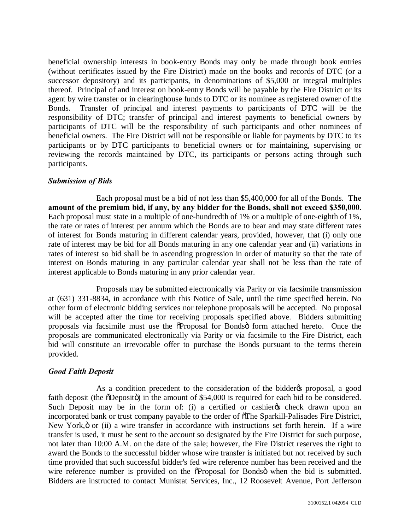beneficial ownership interests in book-entry Bonds may only be made through book entries (without certificates issued by the Fire District) made on the books and records of DTC (or a successor depository) and its participants, in denominations of \$5,000 or integral multiples thereof. Principal of and interest on book-entry Bonds will be payable by the Fire District or its agent by wire transfer or in clearinghouse funds to DTC or its nominee as registered owner of the Bonds. Transfer of principal and interest payments to participants of DTC will be the responsibility of DTC; transfer of principal and interest payments to beneficial owners by participants of DTC will be the responsibility of such participants and other nominees of beneficial owners. The Fire District will not be responsible or liable for payments by DTC to its participants or by DTC participants to beneficial owners or for maintaining, supervising or reviewing the records maintained by DTC, its participants or persons acting through such participants.

# *Submission of Bids*

Each proposal must be a bid of not less than \$5,400,000 for all of the Bonds. **The amount of the premium bid, if any, by any bidder for the Bonds, shall not exceed \$350,000**. Each proposal must state in a multiple of one-hundredth of 1% or a multiple of one-eighth of 1%, the rate or rates of interest per annum which the Bonds are to bear and may state different rates of interest for Bonds maturing in different calendar years, provided, however, that (i) only one rate of interest may be bid for all Bonds maturing in any one calendar year and (ii) variations in rates of interest so bid shall be in ascending progression in order of maturity so that the rate of interest on Bonds maturing in any particular calendar year shall not be less than the rate of interest applicable to Bonds maturing in any prior calendar year.

Proposals may be submitted electronically via Parity or via facsimile transmission at (631) 331-8834, in accordance with this Notice of Sale, until the time specified herein. No other form of electronic bidding services nor telephone proposals will be accepted. No proposal will be accepted after the time for receiving proposals specified above. Bidders submitting proposals via facsimile must use the  $\tilde{\alpha}$ Proposal for Bonds $\ddot{\text{o}}$  form attached hereto. Once the proposals are communicated electronically via Parity or via facsimile to the Fire District, each bid will constitute an irrevocable offer to purchase the Bonds pursuant to the terms therein provided.

# *Good Faith Deposit*

As a condition precedent to the consideration of the bidder to proposal, a good faith deposit (the  $\delta$ Deposit $\ddot{\sigma}$ ) in the amount of \$54,000 is required for each bid to be considered. Such Deposit may be in the form of: (i) a certified or cashier the check drawn upon an incorporated bank or trust company payable to the order of  $\sigma$ The Sparkill-Palisades Fire District, New York, $\ddot{o}$  or (ii) a wire transfer in accordance with instructions set forth herein. If a wire transfer is used, it must be sent to the account so designated by the Fire District for such purpose, not later than 10:00 A.M. on the date of the sale; however, the Fire District reserves the right to award the Bonds to the successful bidder whose wire transfer is initiated but not received by such time provided that such successful bidder's fed wire reference number has been received and the wire reference number is provided on the  $\tilde{\alpha}$ Proposal for Bondsö when the bid is submitted. Bidders are instructed to contact Munistat Services, Inc., 12 Roosevelt Avenue, Port Jefferson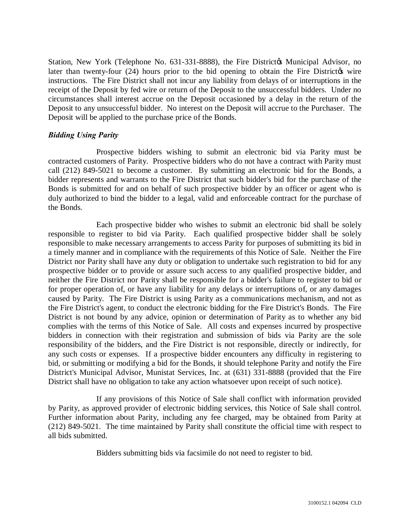Station, New York (Telephone No. 631-331-8888), the Fire District & Municipal Advisor, no later than twenty-four  $(24)$  hours prior to the bid opening to obtain the Fire Districtor wire instructions. The Fire District shall not incur any liability from delays of or interruptions in the receipt of the Deposit by fed wire or return of the Deposit to the unsuccessful bidders. Under no circumstances shall interest accrue on the Deposit occasioned by a delay in the return of the Deposit to any unsuccessful bidder. No interest on the Deposit will accrue to the Purchaser. The Deposit will be applied to the purchase price of the Bonds.

# *Bidding Using Parity*

Prospective bidders wishing to submit an electronic bid via Parity must be contracted customers of Parity. Prospective bidders who do not have a contract with Parity must call (212) 849-5021 to become a customer. By submitting an electronic bid for the Bonds, a bidder represents and warrants to the Fire District that such bidder's bid for the purchase of the Bonds is submitted for and on behalf of such prospective bidder by an officer or agent who is duly authorized to bind the bidder to a legal, valid and enforceable contract for the purchase of the Bonds.

Each prospective bidder who wishes to submit an electronic bid shall be solely responsible to register to bid via Parity. Each qualified prospective bidder shall be solely responsible to make necessary arrangements to access Parity for purposes of submitting its bid in a timely manner and in compliance with the requirements of this Notice of Sale. Neither the Fire District nor Parity shall have any duty or obligation to undertake such registration to bid for any prospective bidder or to provide or assure such access to any qualified prospective bidder, and neither the Fire District nor Parity shall be responsible for a bidder's failure to register to bid or for proper operation of, or have any liability for any delays or interruptions of, or any damages caused by Parity. The Fire District is using Parity as a communications mechanism, and not as the Fire District's agent, to conduct the electronic bidding for the Fire District's Bonds. The Fire District is not bound by any advice, opinion or determination of Parity as to whether any bid complies with the terms of this Notice of Sale. All costs and expenses incurred by prospective bidders in connection with their registration and submission of bids via Parity are the sole responsibility of the bidders, and the Fire District is not responsible, directly or indirectly, for any such costs or expenses. If a prospective bidder encounters any difficulty in registering to bid, or submitting or modifying a bid for the Bonds, it should telephone Parity and notify the Fire District's Municipal Advisor, Munistat Services, Inc. at (631) 331-8888 (provided that the Fire District shall have no obligation to take any action whatsoever upon receipt of such notice).

If any provisions of this Notice of Sale shall conflict with information provided by Parity, as approved provider of electronic bidding services, this Notice of Sale shall control. Further information about Parity, including any fee charged, may be obtained from Parity at (212) 849-5021. The time maintained by Parity shall constitute the official time with respect to all bids submitted.

Bidders submitting bids via facsimile do not need to register to bid.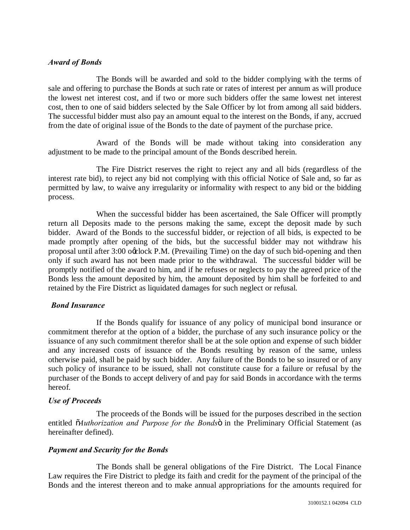## *Award of Bonds*

The Bonds will be awarded and sold to the bidder complying with the terms of sale and offering to purchase the Bonds at such rate or rates of interest per annum as will produce the lowest net interest cost, and if two or more such bidders offer the same lowest net interest cost, then to one of said bidders selected by the Sale Officer by lot from among all said bidders. The successful bidder must also pay an amount equal to the interest on the Bonds, if any, accrued from the date of original issue of the Bonds to the date of payment of the purchase price.

Award of the Bonds will be made without taking into consideration any adjustment to be made to the principal amount of the Bonds described herein.

The Fire District reserves the right to reject any and all bids (regardless of the interest rate bid), to reject any bid not complying with this official Notice of Sale and, so far as permitted by law, to waive any irregularity or informality with respect to any bid or the bidding process.

When the successful bidder has been ascertained, the Sale Officer will promptly return all Deposits made to the persons making the same, except the deposit made by such bidder. Award of the Bonds to the successful bidder, or rejection of all bids, is expected to be made promptly after opening of the bids, but the successful bidder may not withdraw his proposal until after  $3:00$  o $\alpha$  lock P.M. (Prevailing Time) on the day of such bid-opening and then only if such award has not been made prior to the withdrawal. The successful bidder will be promptly notified of the award to him, and if he refuses or neglects to pay the agreed price of the Bonds less the amount deposited by him, the amount deposited by him shall be forfeited to and retained by the Fire District as liquidated damages for such neglect or refusal.

#### *Bond Insurance*

If the Bonds qualify for issuance of any policy of municipal bond insurance or commitment therefor at the option of a bidder, the purchase of any such insurance policy or the issuance of any such commitment therefor shall be at the sole option and expense of such bidder and any increased costs of issuance of the Bonds resulting by reason of the same, unless otherwise paid, shall be paid by such bidder. Any failure of the Bonds to be so insured or of any such policy of insurance to be issued, shall not constitute cause for a failure or refusal by the purchaser of the Bonds to accept delivery of and pay for said Bonds in accordance with the terms hereof.

#### *Use of Proceeds*

The proceeds of the Bonds will be issued for the purposes described in the section entitled  $\tilde{o}$ *Authorization and Purpose for the Bonds* $\ddot{o}$  in the Preliminary Official Statement (as hereinafter defined).

# *Payment and Security for the Bonds*

The Bonds shall be general obligations of the Fire District. The Local Finance Law requires the Fire District to pledge its faith and credit for the payment of the principal of the Bonds and the interest thereon and to make annual appropriations for the amounts required for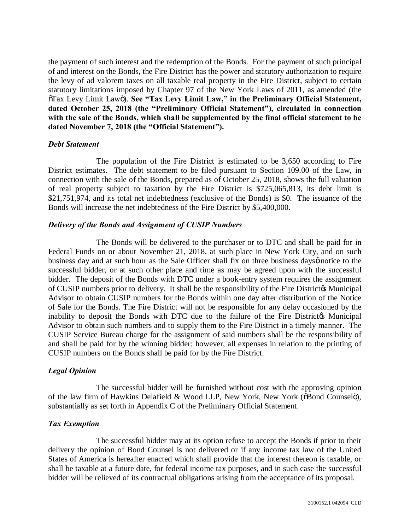the payment of such interest and the redemption of the Bonds. For the payment of such principal of and interest on the Bonds, the Fire District has the power and statutory authorization to require the levy of ad valorem taxes on all taxable real property in the Fire District, subject to certain statutory limitations imposed by Chapter 97 of the New York Laws of 2011, as amended (the  $T$ <sup>Tax</sup> Levy Limit Lawö). See "Tax Levy Limit Law," in the Preliminary Official Statement, **dated October 25, 2018 (the "Preliminary Official Statement"), circulated in connection with the sale of the Bonds, which shall be supplemented by the final official statement to be dated November 7, 2018 (the "Official Statement").**

#### *Debt Statement*

The population of the Fire District is estimated to be 3,650 according to Fire District estimates. The debt statement to be filed pursuant to Section 109.00 of the Law, in connection with the sale of the Bonds, prepared as of October 25, 2018, shows the full valuation of real property subject to taxation by the Fire District is \$725,065,813, its debt limit is \$21,751,974, and its total net indebtedness (exclusive of the Bonds) is \$0. The issuance of the Bonds will increase the net indebtedness of the Fire District by \$5,400,000.

## *Delivery of the Bonds and Assignment of CUSIP Numbers*

The Bonds will be delivered to the purchaser or to DTC and shall be paid for in Federal Funds on or about November 21, 2018, at such place in New York City, and on such business day and at such hour as the Sale Officer shall fix on three business daysø notice to the successful bidder, or at such other place and time as may be agreed upon with the successful bidder. The deposit of the Bonds with DTC under a book-entry system requires the assignment of CUSIP numbers prior to delivery. It shall be the responsibility of the Fire District & Municipal Advisor to obtain CUSIP numbers for the Bonds within one day after distribution of the Notice of Sale for the Bonds. The Fire District will not be responsible for any delay occasioned by the inability to deposit the Bonds with DTC due to the failure of the Fire District & Municipal Advisor to obtain such numbers and to supply them to the Fire District in a timely manner. The CUSIP Service Bureau charge for the assignment of said numbers shall be the responsibility of and shall be paid for by the winning bidder; however, all expenses in relation to the printing of CUSIP numbers on the Bonds shall be paid for by the Fire District.

# *Legal Opinion*

The successful bidder will be furnished without cost with the approving opinion of the law firm of Hawkins Delafield & Wood LLP, New York, New York ( $\delta$ Bond Counsel $\delta$ ), substantially as set forth in Appendix C of the Preliminary Official Statement.

# *Tax Exemption*

The successful bidder may at its option refuse to accept the Bonds if prior to their delivery the opinion of Bond Counsel is not delivered or if any income tax law of the United States of America is hereafter enacted which shall provide that the interest thereon is taxable, or shall be taxable at a future date, for federal income tax purposes, and in such case the successful bidder will be relieved of its contractual obligations arising from the acceptance of its proposal.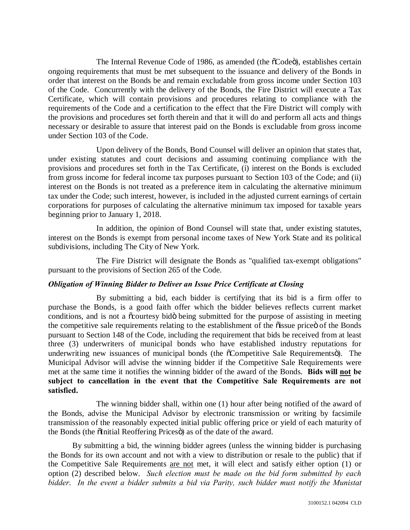The Internal Revenue Code of 1986, as amended (the  $\tilde{o}$ Codeö), establishes certain ongoing requirements that must be met subsequent to the issuance and delivery of the Bonds in order that interest on the Bonds be and remain excludable from gross income under Section 103 of the Code. Concurrently with the delivery of the Bonds, the Fire District will execute a Tax Certificate, which will contain provisions and procedures relating to compliance with the requirements of the Code and a certification to the effect that the Fire District will comply with the provisions and procedures set forth therein and that it will do and perform all acts and things necessary or desirable to assure that interest paid on the Bonds is excludable from gross income under Section 103 of the Code.

Upon delivery of the Bonds, Bond Counsel will deliver an opinion that states that, under existing statutes and court decisions and assuming continuing compliance with the provisions and procedures set forth in the Tax Certificate, (i) interest on the Bonds is excluded from gross income for federal income tax purposes pursuant to Section 103 of the Code; and (ii) interest on the Bonds is not treated as a preference item in calculating the alternative minimum tax under the Code; such interest, however, is included in the adjusted current earnings of certain corporations for purposes of calculating the alternative minimum tax imposed for taxable years beginning prior to January 1, 2018.

In addition, the opinion of Bond Counsel will state that, under existing statutes, interest on the Bonds is exempt from personal income taxes of New York State and its political subdivisions, including The City of New York.

The Fire District will designate the Bonds as "qualified tax-exempt obligations" pursuant to the provisions of Section 265 of the Code.

# *Obligation of Winning Bidder to Deliver an Issue Price Certificate at Closing*

By submitting a bid, each bidder is certifying that its bid is a firm offer to purchase the Bonds, is a good faith offer which the bidder believes reflects current market conditions, and is not a  $\tilde{\alpha}$  courtesy bido being submitted for the purpose of assisting in meeting the competitive sale requirements relating to the establishment of the  $\tilde{o}$  issue price of the Bonds pursuant to Section 148 of the Code, including the requirement that bids be received from at least three (3) underwriters of municipal bonds who have established industry reputations for underwriting new issuances of municipal bonds (the  $\tilde{c}$ Competitive Sale Requirements $\ddot{o}$ ). The Municipal Advisor will advise the winning bidder if the Competitive Sale Requirements were met at the same time it notifies the winning bidder of the award of the Bonds. **Bids will not be subject to cancellation in the event that the Competitive Sale Requirements are not satisfied.**

The winning bidder shall, within one (1) hour after being notified of the award of the Bonds, advise the Municipal Advisor by electronic transmission or writing by facsimile transmission of the reasonably expected initial public offering price or yield of each maturity of the Bonds (the  $\delta$ Initial Reoffering Prices $\ddot{\sigma}$ ) as of the date of the award.

By submitting a bid, the winning bidder agrees (unless the winning bidder is purchasing the Bonds for its own account and not with a view to distribution or resale to the public) that if the Competitive Sale Requirements are not met, it will elect and satisfy either option (1) or option (2) described below. *Such election must be made on the bid form submitted by each bidder*. *In the event a bidder submits a bid via Parity, such bidder must notify the Munistat*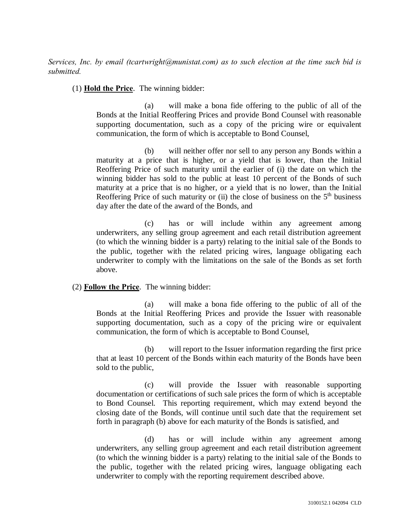*Services, Inc. by email (tcartwright@munistat.com) as to such election at the time such bid is submitted.*

(1) **Hold the Price**. The winning bidder:

(a) will make a bona fide offering to the public of all of the Bonds at the Initial Reoffering Prices and provide Bond Counsel with reasonable supporting documentation, such as a copy of the pricing wire or equivalent communication, the form of which is acceptable to Bond Counsel,

(b) will neither offer nor sell to any person any Bonds within a maturity at a price that is higher, or a yield that is lower, than the Initial Reoffering Price of such maturity until the earlier of (i) the date on which the winning bidder has sold to the public at least 10 percent of the Bonds of such maturity at a price that is no higher, or a yield that is no lower, than the Initial Reoffering Price of such maturity or (ii) the close of business on the  $5<sup>th</sup>$  business day after the date of the award of the Bonds, and

(c) has or will include within any agreement among underwriters, any selling group agreement and each retail distribution agreement (to which the winning bidder is a party) relating to the initial sale of the Bonds to the public, together with the related pricing wires, language obligating each underwriter to comply with the limitations on the sale of the Bonds as set forth above.

# (2) **Follow the Price**. The winning bidder:

(a) will make a bona fide offering to the public of all of the Bonds at the Initial Reoffering Prices and provide the Issuer with reasonable supporting documentation, such as a copy of the pricing wire or equivalent communication, the form of which is acceptable to Bond Counsel,

(b) will report to the Issuer information regarding the first price that at least 10 percent of the Bonds within each maturity of the Bonds have been sold to the public,

(c) will provide the Issuer with reasonable supporting documentation or certifications of such sale prices the form of which is acceptable to Bond Counsel. This reporting requirement, which may extend beyond the closing date of the Bonds, will continue until such date that the requirement set forth in paragraph (b) above for each maturity of the Bonds is satisfied, and

(d) has or will include within any agreement among underwriters, any selling group agreement and each retail distribution agreement (to which the winning bidder is a party) relating to the initial sale of the Bonds to the public, together with the related pricing wires, language obligating each underwriter to comply with the reporting requirement described above.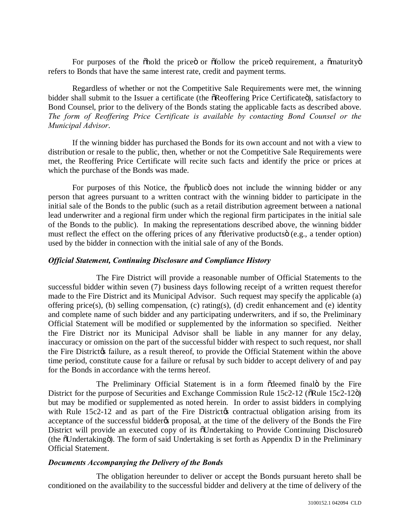For purposes of the  $\ddot{\text{o}}$  hold the price or  $\ddot{\text{o}}$  or  $\ddot{\text{o}}$  of  $\ddot{\text{o}}$  requirement, a  $\ddot{\text{o}}$  maturity  $\ddot{\text{o}}$ refers to Bonds that have the same interest rate, credit and payment terms.

Regardless of whether or not the Competitive Sale Requirements were met, the winning bidder shall submit to the Issuer a certificate (the  $\delta$ Reoffering Price Certificate $\delta$ ), satisfactory to Bond Counsel, prior to the delivery of the Bonds stating the applicable facts as described above. *The form of Reoffering Price Certificate is available by contacting Bond Counsel or the Municipal Advisor*.

If the winning bidder has purchased the Bonds for its own account and not with a view to distribution or resale to the public, then, whether or not the Competitive Sale Requirements were met, the Reoffering Price Certificate will recite such facts and identify the price or prices at which the purchase of the Bonds was made.

For purposes of this Notice, the  $\ddot{\text{o}}$  public does not include the winning bidder or any person that agrees pursuant to a written contract with the winning bidder to participate in the initial sale of the Bonds to the public (such as a retail distribution agreement between a national lead underwriter and a regional firm under which the regional firm participates in the initial sale of the Bonds to the public). In making the representations described above, the winning bidder must reflect the effect on the offering prices of any  $\tilde{c}$  derivative products $\tilde{c}$  (e.g., a tender option) used by the bidder in connection with the initial sale of any of the Bonds.

## *Official Statement, Continuing Disclosure and Compliance History*

The Fire District will provide a reasonable number of Official Statements to the successful bidder within seven (7) business days following receipt of a written request therefor made to the Fire District and its Municipal Advisor. Such request may specify the applicable (a) offering price(s), (b) selling compensation, (c) rating(s), (d) credit enhancement and (e) identity and complete name of such bidder and any participating underwriters, and if so, the Preliminary Official Statement will be modified or supplemented by the information so specified. Neither the Fire District nor its Municipal Advisor shall be liable in any manner for any delay, inaccuracy or omission on the part of the successful bidder with respect to such request, nor shall the Fire District a failure, as a result thereof, to provide the Official Statement within the above time period, constitute cause for a failure or refusal by such bidder to accept delivery of and pay for the Bonds in accordance with the terms hereof.

The Preliminary Official Statement is in a form odeemed finalo by the Fire District for the purpose of Securities and Exchange Commission Rule 15c2-12 ( $\delta$ Rule 15c2-12 $\ddot{\delta}$ ) but may be modified or supplemented as noted herein. In order to assist bidders in complying with Rule  $15c2-12$  and as part of the Fire District to contractual obligation arising from its acceptance of the successful bidder to proposal, at the time of the delivery of the Bonds the Fire District will provide an executed copy of its  $\tilde{\text{o}}$ Undertaking to Provide Continuing Disclosure $\ddot{\text{o}}$ (the  $\delta$ Undertaking $\ddot{\text{o}}$ ). The form of said Undertaking is set forth as Appendix D in the Preliminary Official Statement.

#### *Documents Accompanying the Delivery of the Bonds*

The obligation hereunder to deliver or accept the Bonds pursuant hereto shall be conditioned on the availability to the successful bidder and delivery at the time of delivery of the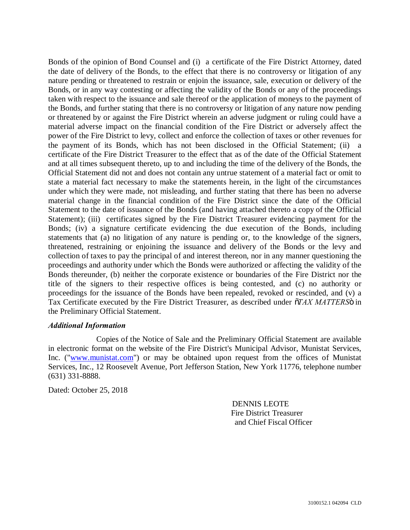Bonds of the opinion of Bond Counsel and (i) a certificate of the Fire District Attorney, dated the date of delivery of the Bonds, to the effect that there is no controversy or litigation of any nature pending or threatened to restrain or enjoin the issuance, sale, execution or delivery of the Bonds, or in any way contesting or affecting the validity of the Bonds or any of the proceedings taken with respect to the issuance and sale thereof or the application of moneys to the payment of the Bonds, and further stating that there is no controversy or litigation of any nature now pending or threatened by or against the Fire District wherein an adverse judgment or ruling could have a material adverse impact on the financial condition of the Fire District or adversely affect the power of the Fire District to levy, collect and enforce the collection of taxes or other revenues for the payment of its Bonds, which has not been disclosed in the Official Statement; (ii) a certificate of the Fire District Treasurer to the effect that as of the date of the Official Statement and at all times subsequent thereto, up to and including the time of the delivery of the Bonds, the Official Statement did not and does not contain any untrue statement of a material fact or omit to state a material fact necessary to make the statements herein, in the light of the circumstances under which they were made, not misleading, and further stating that there has been no adverse material change in the financial condition of the Fire District since the date of the Official Statement to the date of issuance of the Bonds (and having attached thereto a copy of the Official Statement); (iii) certificates signed by the Fire District Treasurer evidencing payment for the Bonds; (iv) a signature certificate evidencing the due execution of the Bonds, including statements that (a) no litigation of any nature is pending or, to the knowledge of the signers, threatened, restraining or enjoining the issuance and delivery of the Bonds or the levy and collection of taxes to pay the principal of and interest thereon, nor in any manner questioning the proceedings and authority under which the Bonds were authorized or affecting the validity of the Bonds thereunder, (b) neither the corporate existence or boundaries of the Fire District nor the title of the signers to their respective offices is being contested, and (c) no authority or proceedings for the issuance of the Bonds have been repealed, revoked or rescinded, and (v) a Tax Certificate executed by the Fire District Treasurer, as described under  $\tilde{\sigma}TAX$  *MATTERS* $\tilde{\sigma}$  in the Preliminary Official Statement.

#### *Additional Information*

Copies of the Notice of Sale and the Preliminary Official Statement are available in electronic format on the website of the Fire District's Municipal Advisor, Munistat Services, Inc. ("www.munistat.com") or may be obtained upon request from the offices of Munistat Services, Inc., 12 Roosevelt Avenue, Port Jefferson Station, New York 11776, telephone number (631) 331-8888.

Dated: October 25, 2018

 DENNIS LEOTE Fire District Treasurer and Chief Fiscal Officer